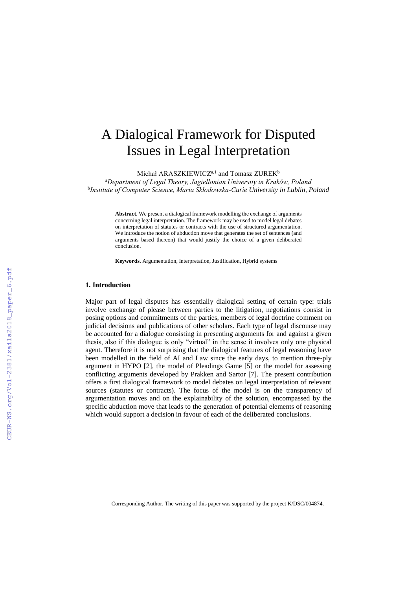# A Dialogical Framework for Disputed Issues in Legal Interpretation

Michał ARASZKIEWICZ<sup>a,1</sup> and Tomasz ZUREK<sup>b</sup>

<sup>a</sup>*Department of Legal Theory, Jagiellonian University in Kraków, Poland* b *Institute of Computer Science, Maria Skłodowska-Curie University in Lublin, Poland*

> **Abstract.** We present a dialogical framework modelling the exchange of arguments concerning legal interpretation. The framework may be used to model legal debates on interpretation of statutes or contracts with the use of structured argumentation. We introduce the notion of abduction move that generates the set of sentences (and arguments based thereon) that would justify the choice of a given deliberated conclusion.

**Keywords.** Argumentation, Interpretation, Justification, Hybrid systems

#### **1. Introduction**

-

Major part of legal disputes has essentially dialogical setting of certain type: trials involve exchange of please between parties to the litigation, negotiations consist in posing options and commitments of the parties, members of legal doctrine comment on judicial decisions and publications of other scholars. Each type of legal discourse may be accounted for a dialogue consisting in presenting arguments for and against a given thesis, also if this dialogue is only "virtual" in the sense it involves only one physical agent. Therefore it is not surprising that the dialogical features of legal reasoning have been modelled in the field of AI and Law since the early days, to mention three-ply argument in HYPO [2], the model of Pleadings Game [5] or the model for assessing conflicting arguments developed by Prakken and Sartor [7]. The present contribution offers a first dialogical framework to model debates on legal interpretation of relevant sources (statutes or contracts). The focus of the model is on the transparency of argumentation moves and on the explainability of the solution, encompassed by the specific abduction move that leads to the generation of potential elements of reasoning which would support a decision in favour of each of the deliberated conclusions.

<sup>1</sup> Corresponding Author. The writing of this paper was supported by the project K/DSC/004874.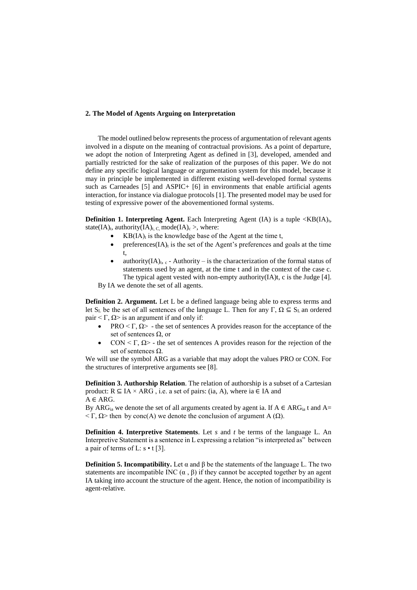### **2. The Model of Agents Arguing on Interpretation**

The model outlined below represents the process of argumentation of relevant agents involved in a dispute on the meaning of contractual provisions. As a point of departure, we adopt the notion of Interpreting Agent as defined in [3], developed, amended and partially restricted for the sake of realization of the purposes of this paper. We do not define any specific logical language or argumentation system for this model, because it may in principle be implemented in different existing well-developed formal systems such as Carneades [5] and ASPIC+ [6] in environments that enable artificial agents interaction, for instance via dialogue protocols [1]. The presented model may be used for testing of expressive power of the abovementioned formal systems.

**Definition 1. Interpreting Agent.** Each Interpreting Agent  $(IA)$  is a tuple  $\langle KB|IA\rangle$ <sub>t</sub>, state(IA)<sub>t</sub>, authority(IA)<sub>t, C,</sub> mode(IA)<sub>c</sub> >, where:

- $KB(IA)_t$  is the knowledge base of the Agent at the time t,
- preferences( $IA$ )<sub>t</sub> is the set of the Agent's preferences and goals at the time t,
- authority(IA)<sub>t, c</sub> Authority is the characterization of the formal status of statements used by an agent, at the time t and in the context of the case c. The typical agent vested with non-empty authority(IA)t, c is the Judge [4].

By IA we denote the set of all agents.

**Definition 2. Argument.** Let L be a defined language being able to express terms and let S<sub>L</sub> be the set of all sentences of the language L. Then for any Γ,  $\Omega \subseteq S_L$  an ordered pair  $\langle \Gamma, \Omega \rangle$  is an argument if and only if:

- PRO  $\leq \Gamma$ ,  $\Omega$  the set of sentences A provides reason for the acceptance of the set of sentences  $\Omega$ , or
- CON < Γ, Ω> the set of sentences A provides reason for the rejection of the set of sentences Ω.

We will use the symbol ARG as a variable that may adopt the values PRO or CON. For the structures of interpretive arguments see [8].

**Definition 3. Authorship Relation**. The relation of authorship is a subset of a Cartesian product:  $R \subseteq IA \times ARG$ , i.e. a set of pairs: (ia, A), where ia  $\in IA$  and  $A \in ARG$ .

By ARG<sub>ia</sub> we denote the set of all arguments created by agent ia. If  $A \in \text{ARG}_{ia}$  t and A=  $\langle \Gamma, \Omega \rangle$  then by conc(A) we denote the conclusion of argument A (Ω).

**Definition 4. Interpretive Statements**. Let *s* and *t* be terms of the language L. An Interpretive Statement is a sentence in L expressing a relation "is interpreted as" between a pair of terms of L:  $s \cdot t$  [3].

**Definition 5. Incompatibility.** Let  $\alpha$  and  $\beta$  be the statements of the language L. The two statements are incompatible INC  $(\alpha, \beta)$  if they cannot be accepted together by an agent IA taking into account the structure of the agent. Hence, the notion of incompatibility is agent-relative.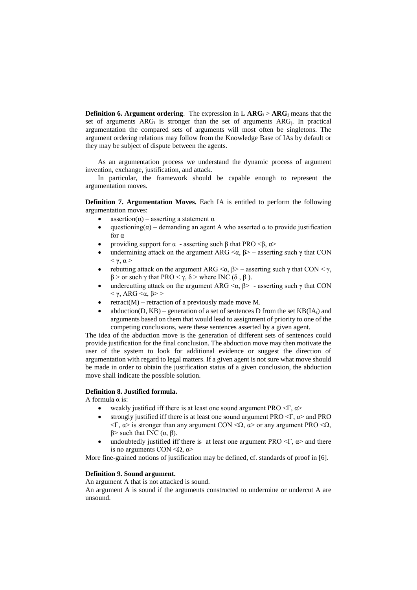**Definition 6. Argument ordering**. The expression in L **ARG<sup>i</sup>** > **ARG<sup>j</sup>** means that the set of arguments  $ARG_i$  is stronger than the set of arguments  $ARG_i$ . In practical argumentation the compared sets of arguments will most often be singletons. The argument ordering relations may follow from the Knowledge Base of IAs by default or they may be subject of dispute between the agents.

As an argumentation process we understand the dynamic process of argument invention, exchange, justification, and attack.

In particular, the framework should be capable enough to represent the argumentation moves.

**Definition 7. Argumentation Moves.** Each IA is entitled to perform the following argumentation moves:

- $\text{assertion}(\alpha)$  asserting a statement  $\alpha$
- questioning( $\alpha$ ) demanding an agent A who asserted  $\alpha$  to provide justification for α
- providing support for  $\alpha$  asserting such β that PRO <β,  $\alpha$ >
- undermining attack on the argument ARG  $\langle \alpha, \beta \rangle$  asserting such  $\gamma$  that CON  $< \gamma$ ,  $\alpha >$
- rebutting attack on the argument ARG  $\langle \alpha, \beta \rangle$  asserting such γ that CON  $\langle \gamma, \beta \rangle$ β > or such γ that PRO < γ, δ > where INC (δ , β ).
- undercutting attack on the argument ARG  $\langle \alpha, \beta \rangle$  asserting such  $\gamma$  that CON  $<$  γ, ARG  $<$ α, β> >
- retract(M) retraction of a previously made move M.
- abduction(D, KB) generation of a set of sentences D from the set  $KB(IA<sub>t</sub>)$  and arguments based on them that would lead to assignment of priority to one of the competing conclusions, were these sentences asserted by a given agent.

The idea of the abduction move is the generation of different sets of sentences could provide justification for the final conclusion. The abduction move may then motivate the user of the system to look for additional evidence or suggest the direction of argumentation with regard to legal matters. If a given agent is not sure what move should be made in order to obtain the justification status of a given conclusion, the abduction move shall indicate the possible solution.

## **Definition 8. Justified formula.**

A formula α is:

- weakly justified iff there is at least one sound argument PRO  $\leq \Gamma$ ,  $\alpha$
- strongly justified iff there is at least one sound argument PRO  $\langle \Gamma, \alpha \rangle$  and PRO <Γ, α> is stronger than any argument CON <Ω, α> or any argument PRO <Ω, β> such that INC  $(α, β)$ .
- undoubtedly justified iff there is at least one argument PRO  $\langle \Gamma, \alpha \rangle$  and there is no arguments CON  $\leq \Omega$ ,  $\alpha$ >

More fine-grained notions of justification may be defined, cf. standards of proof in [6].

## **Definition 9. Sound argument.**

An argument A that is not attacked is sound.

An argument A is sound if the arguments constructed to undermine or undercut A are unsound.